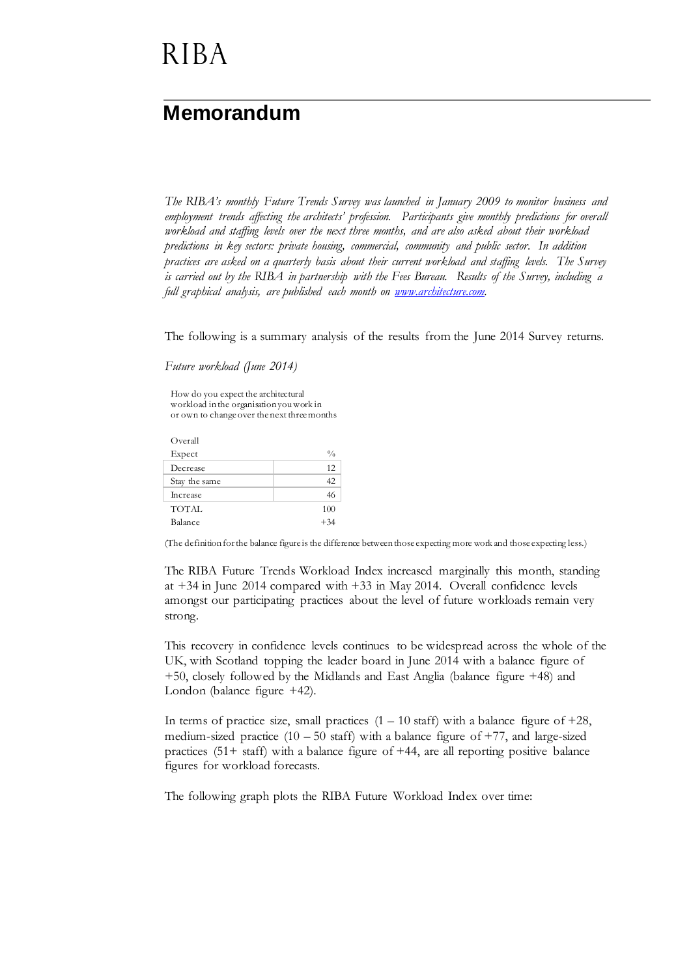### **Memorandum**

*The RIBA's monthly Future Trends Survey was launched in January 2009 to monitor business and employment trends affecting the architects' profession. Participants give monthly predictions for overall workload and staffing levels over the next three months, and are also asked about their workload predictions in key sectors: private housing, commercial, community and public sector. In addition practices are asked on a quarterly basis about their current workload and staffing levels. The Survey is carried out by the RIBA in partnership with the Fees Bureau. Results of the Survey, including a full graphical analysis, are published each month on [www.architecture.com.](http://www.architecture.com/)*

The following is a summary analysis of the results from the June 2014 Survey returns.

*Future workload (June 2014)*

How do you expect the architectural workload in the organisation you work in or own to change over the next three months

| Overall       |               |
|---------------|---------------|
| Expect        | $\frac{0}{0}$ |
| Decrease      | 12            |
| Stay the same | 42            |
| Increase      | 46            |
| <b>TOTAL</b>  | 100           |
| Balance       | $+34$         |

(The definition for the balance figure is the difference between those expecting more work and those expecting less.)

The RIBA Future Trends Workload Index increased marginally this month, standing at +34 in June 2014 compared with +33 in May 2014. Overall confidence levels amongst our participating practices about the level of future workloads remain very strong.

This recovery in confidence levels continues to be widespread across the whole of the UK, with Scotland topping the leader board in June 2014 with a balance figure of +50, closely followed by the Midlands and East Anglia (balance figure +48) and London (balance figure +42).

In terms of practice size, small practices  $(1 - 10 \text{ staff})$  with a balance figure of  $+28$ , medium-sized practice  $(10 - 50 \text{ staff})$  with a balance figure of  $+77$ , and large-sized practices (51+ staff) with a balance figure of +44, are all reporting positive balance figures for workload forecasts.

The following graph plots the RIBA Future Workload Index over time: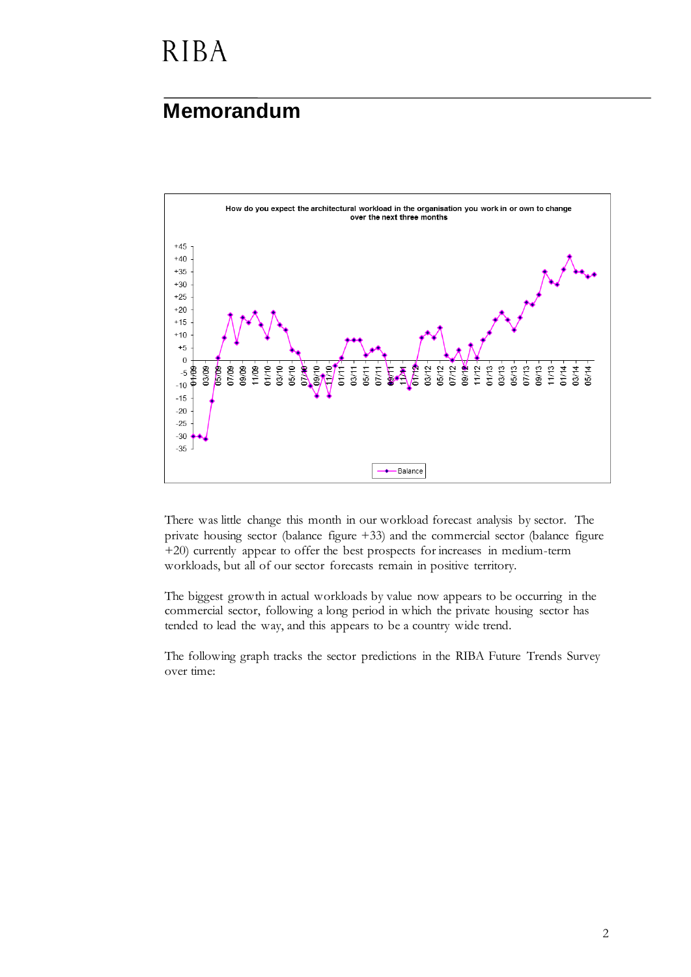## **Memorandum**



There was little change this month in our workload forecast analysis by sector. The private housing sector (balance figure +33) and the commercial sector (balance figure +20) currently appear to offer the best prospects for increases in medium-term workloads, but all of our sector forecasts remain in positive territory.

The biggest growth in actual workloads by value now appears to be occurring in the commercial sector, following a long period in which the private housing sector has tended to lead the way, and this appears to be a country wide trend.

The following graph tracks the sector predictions in the RIBA Future Trends Survey over time: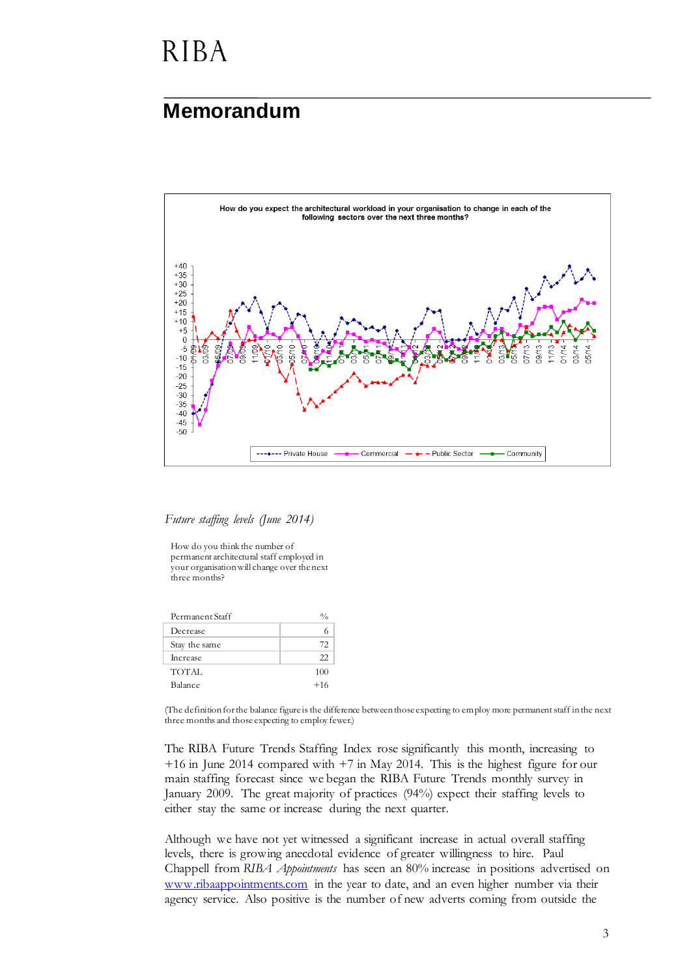#### **Memorandum**



*Future staffing levels (June 2014)*

How do you think the number of permanent architectural staff employed in your organisation will change over the next three months?

| Permanent Staff |       |
|-----------------|-------|
| Decrease        |       |
| Stay the same   | 72    |
| Increase        | 22    |
| TOTAL           | 100   |
| Balance         | $+16$ |

(The definition for the balance figure is the difference between those expecting to employ more permanent staff in the next three months and those expecting to employ fewer.)

The RIBA Future Trends Staffing Index rose significantly this month, increasing to  $+16$  in June 2014 compared with  $+7$  in May 2014. This is the highest figure for our main staffing forecast since we began the RIBA Future Trends monthly survey in January 2009. The great majority of practices (94%) expect their staffing levels to either stay the same or increase during the next quarter.

Although we have not yet witnessed a significant increase in actual overall staffing levels, there is growing anecdotal evidence of greater willingness to hire. Paul Chappell from *RIBA Appointments* has seen an 80% increase in positions advertised on [www.ribaappointments.com](http://www.ribaappointments.com/) in the year to date, and an even higher number via their agency service. Also positive is the number of new adverts coming from outside the